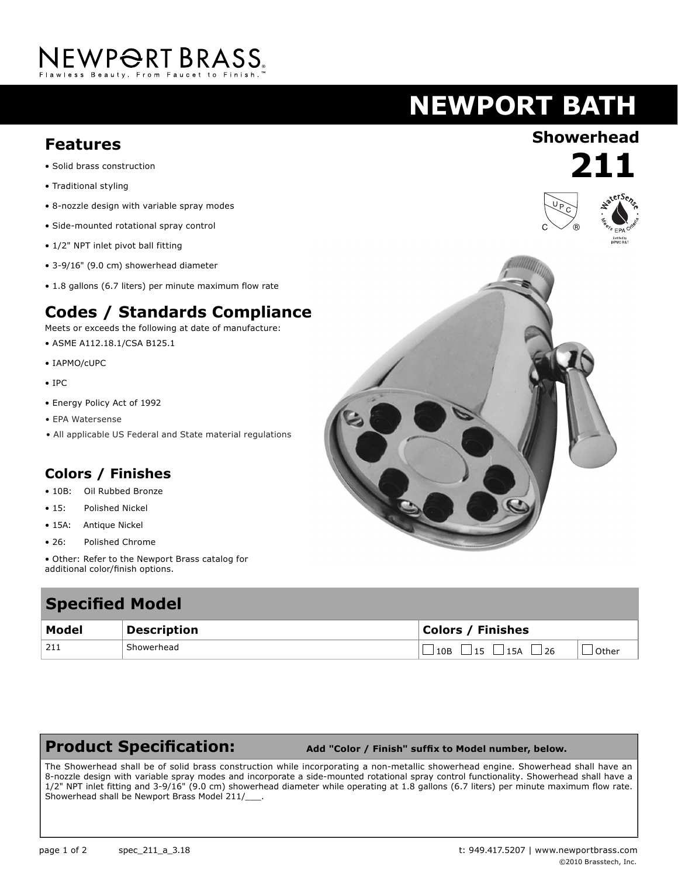# NEWPORT BRASS.

### **NEWPORT BATH**

### **Showerhead Features**

- Solid brass construction
- Traditional styling
- 8-nozzle design with variable spray modes
- Side-mounted rotational spray control
- 1/2" NPT inlet pivot ball fitting
- 3-9/16" (9.0 cm) showerhead diameter
- 1.8 gallons (6.7 liters) per minute maximum flow rate

#### **Codes / Standards Compliance**

Meets or exceeds the following at date of manufacture:

- ASME A112.18.1/CSA B125.1
- IAPMO/cUPC
- IPC
- Energy Policy Act of 1992
- EPA Watersense
- All applicable US Federal and State material regulations

#### **Colors / Finishes**

- 10B: Oil Rubbed Bronze
- 15: Polished Nickel
- 15A: Antique Nickel
- 26: Polished Chrome
- Other: Refer to the Newport Brass catalog for additional color/finish options.

### **Specified Model**

| <b>PRANTICA LIANAL</b> |                    |                                      |       |
|------------------------|--------------------|--------------------------------------|-------|
| Model                  | <b>Description</b> | <b>Colors / Finishes</b>             |       |
| ່ 211                  | Showerhead         | 15A<br>15 <sub>1</sub><br>10B<br>126 | Other |

#### **Product Specification:**

 **Add "Color / Finish" suffix to Model number, below.**

The Showerhead shall be of solid brass construction while incorporating a non-metallic showerhead engine. Showerhead shall have an 8-nozzle design with variable spray modes and incorporate a side-mounted rotational spray control functionality. Showerhead shall have a 1/2" NPT inlet fitting and 3-9/16" (9.0 cm) showerhead diameter while operating at 1.8 gallons (6.7 liters) per minute maximum flow rate. Showerhead shall be Newport Brass Model 211/



**211**